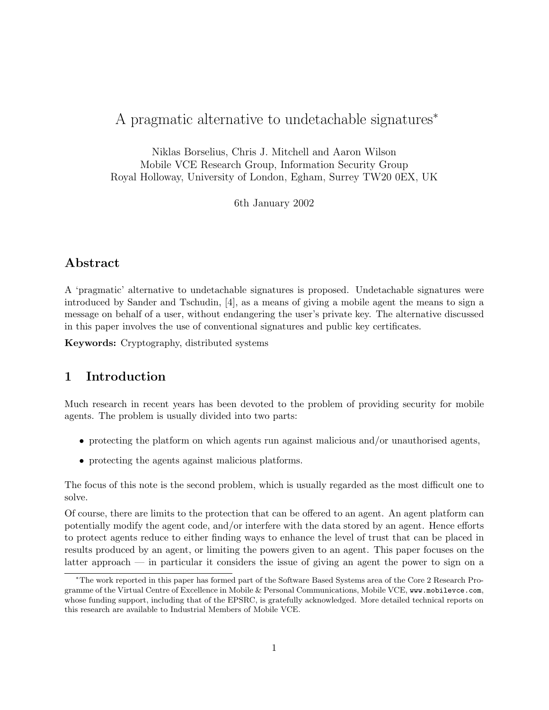# A pragmatic alternative to undetachable signatures<sup>∗</sup>

Niklas Borselius, Chris J. Mitchell and Aaron Wilson Mobile VCE Research Group, Information Security Group Royal Holloway, University of London, Egham, Surrey TW20 0EX, UK

6th January 2002

# Abstract

A 'pragmatic' alternative to undetachable signatures is proposed. Undetachable signatures were introduced by Sander and Tschudin, [4], as a means of giving a mobile agent the means to sign a message on behalf of a user, without endangering the user's private key. The alternative discussed in this paper involves the use of conventional signatures and public key certificates.

Keywords: Cryptography, distributed systems

### 1 Introduction

Much research in recent years has been devoted to the problem of providing security for mobile agents. The problem is usually divided into two parts:

- protecting the platform on which agents run against malicious and/or unauthorised agents,
- protecting the agents against malicious platforms.

The focus of this note is the second problem, which is usually regarded as the most difficult one to solve.

Of course, there are limits to the protection that can be offered to an agent. An agent platform can potentially modify the agent code, and/or interfere with the data stored by an agent. Hence efforts to protect agents reduce to either finding ways to enhance the level of trust that can be placed in results produced by an agent, or limiting the powers given to an agent. This paper focuses on the latter approach — in particular it considers the issue of giving an agent the power to sign on a

<sup>∗</sup>The work reported in this paper has formed part of the Software Based Systems area of the Core 2 Research Programme of the Virtual Centre of Excellence in Mobile & Personal Communications, Mobile VCE, www.mobilevce.com, whose funding support, including that of the EPSRC, is gratefully acknowledged. More detailed technical reports on this research are available to Industrial Members of Mobile VCE.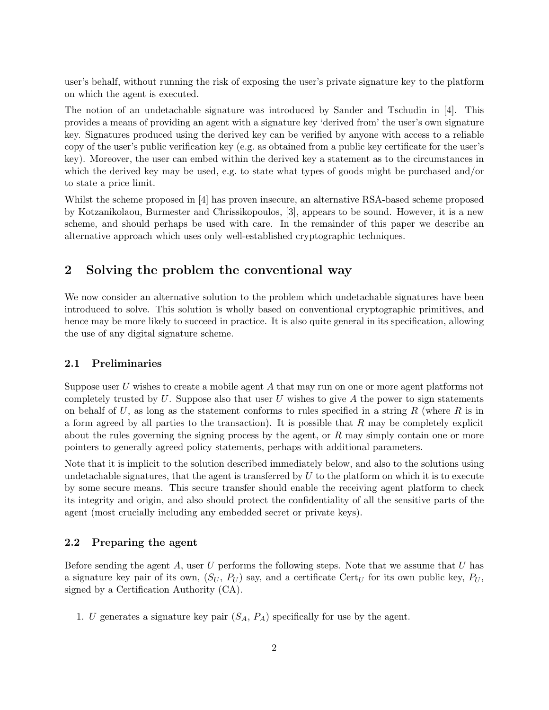user's behalf, without running the risk of exposing the user's private signature key to the platform on which the agent is executed.

The notion of an undetachable signature was introduced by Sander and Tschudin in [4]. This provides a means of providing an agent with a signature key 'derived from' the user's own signature key. Signatures produced using the derived key can be verified by anyone with access to a reliable copy of the user's public verification key (e.g. as obtained from a public key certificate for the user's key). Moreover, the user can embed within the derived key a statement as to the circumstances in which the derived key may be used, e.g. to state what types of goods might be purchased and/or to state a price limit.

Whilst the scheme proposed in [4] has proven insecure, an alternative RSA-based scheme proposed by Kotzanikolaou, Burmester and Chrissikopoulos, [3], appears to be sound. However, it is a new scheme, and should perhaps be used with care. In the remainder of this paper we describe an alternative approach which uses only well-established cryptographic techniques.

### 2 Solving the problem the conventional way

We now consider an alternative solution to the problem which undetachable signatures have been introduced to solve. This solution is wholly based on conventional cryptographic primitives, and hence may be more likely to succeed in practice. It is also quite general in its specification, allowing the use of any digital signature scheme.

#### 2.1 Preliminaries

Suppose user U wishes to create a mobile agent A that may run on one or more agent platforms not completely trusted by  $U$ . Suppose also that user  $U$  wishes to give  $A$  the power to sign statements on behalf of U, as long as the statement conforms to rules specified in a string R (where R is in a form agreed by all parties to the transaction). It is possible that  $R$  may be completely explicit about the rules governing the signing process by the agent, or  $R$  may simply contain one or more pointers to generally agreed policy statements, perhaps with additional parameters.

Note that it is implicit to the solution described immediately below, and also to the solutions using undetachable signatures, that the agent is transferred by  $U$  to the platform on which it is to execute by some secure means. This secure transfer should enable the receiving agent platform to check its integrity and origin, and also should protect the confidentiality of all the sensitive parts of the agent (most crucially including any embedded secret or private keys).

#### 2.2 Preparing the agent

Before sending the agent A, user  $U$  performs the following steps. Note that we assume that  $U$  has a signature key pair of its own,  $(S_U, P_U)$  say, and a certificate Cert<sub>U</sub> for its own public key,  $P_U$ , signed by a Certification Authority (CA).

1. U generates a signature key pair  $(S_A, P_A)$  specifically for use by the agent.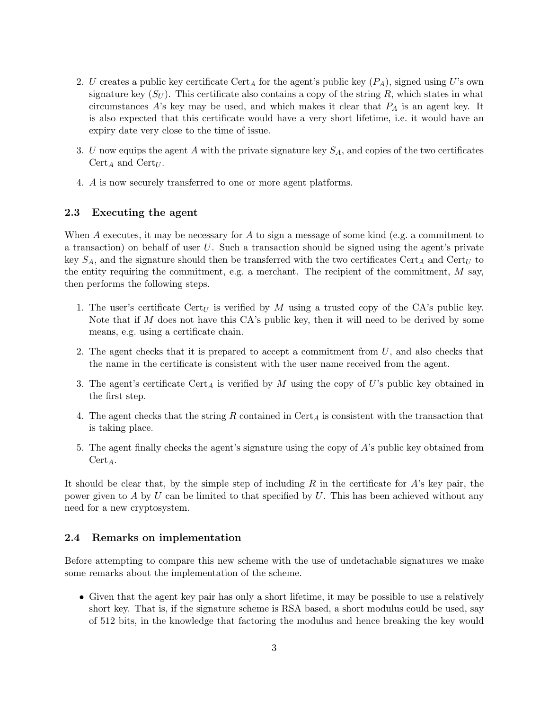- 2. U creates a public key certificate Cert<sub>A</sub> for the agent's public key  $(P_A)$ , signed using U's own signature key  $(S_U)$ . This certificate also contains a copy of the string R, which states in what circumstances  $A$ 's key may be used, and which makes it clear that  $P_A$  is an agent key. It is also expected that this certificate would have a very short lifetime, i.e. it would have an expiry date very close to the time of issue.
- 3. U now equips the agent A with the private signature key  $S_A$ , and copies of the two certificates  $Cert_A$  and  $Cert_U$ .
- 4. A is now securely transferred to one or more agent platforms.

#### 2.3 Executing the agent

When A executes, it may be necessary for A to sign a message of some kind (e.g. a commitment to a transaction) on behalf of user  $U$ . Such a transaction should be signed using the agent's private key  $S_A$ , and the signature should then be transferred with the two certificates Cert<sub>A</sub> and Cert<sub>U</sub> to the entity requiring the commitment, e.g. a merchant. The recipient of the commitment,  $M$  say, then performs the following steps.

- 1. The user's certificate  $Cert_U$  is verified by M using a trusted copy of the CA's public key. Note that if  $M$  does not have this  $CA$ 's public key, then it will need to be derived by some means, e.g. using a certificate chain.
- 2. The agent checks that it is prepared to accept a commitment from  $U$ , and also checks that the name in the certificate is consistent with the user name received from the agent.
- 3. The agent's certificate  $\text{Cert}_A$  is verified by M using the copy of U's public key obtained in the first step.
- 4. The agent checks that the string R contained in  $\text{Cert}_{A}$  is consistent with the transaction that is taking place.
- 5. The agent finally checks the agent's signature using the copy of A's public key obtained from  $Cert_A.$

It should be clear that, by the simple step of including  $R$  in the certificate for  $A$ 's key pair, the power given to A by U can be limited to that specified by U. This has been achieved without any need for a new cryptosystem.

#### 2.4 Remarks on implementation

Before attempting to compare this new scheme with the use of undetachable signatures we make some remarks about the implementation of the scheme.

• Given that the agent key pair has only a short lifetime, it may be possible to use a relatively short key. That is, if the signature scheme is RSA based, a short modulus could be used, say of 512 bits, in the knowledge that factoring the modulus and hence breaking the key would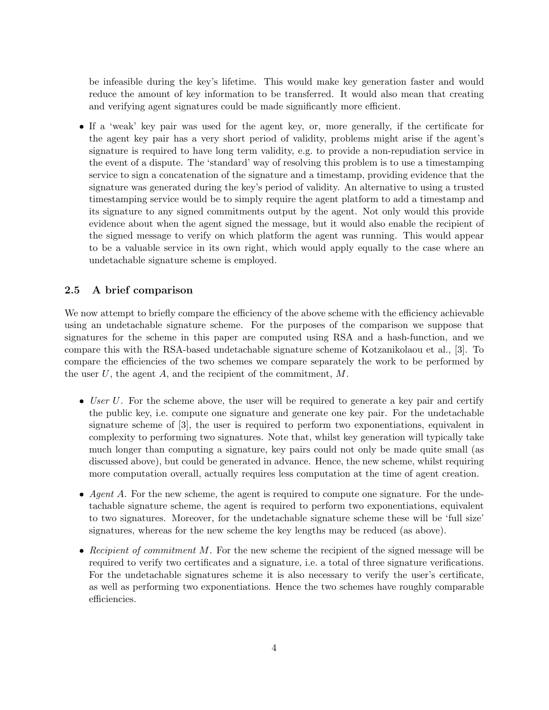be infeasible during the key's lifetime. This would make key generation faster and would reduce the amount of key information to be transferred. It would also mean that creating and verifying agent signatures could be made significantly more efficient.

• If a 'weak' key pair was used for the agent key, or, more generally, if the certificate for the agent key pair has a very short period of validity, problems might arise if the agent's signature is required to have long term validity, e.g. to provide a non-repudiation service in the event of a dispute. The 'standard' way of resolving this problem is to use a timestamping service to sign a concatenation of the signature and a timestamp, providing evidence that the signature was generated during the key's period of validity. An alternative to using a trusted timestamping service would be to simply require the agent platform to add a timestamp and its signature to any signed commitments output by the agent. Not only would this provide evidence about when the agent signed the message, but it would also enable the recipient of the signed message to verify on which platform the agent was running. This would appear to be a valuable service in its own right, which would apply equally to the case where an undetachable signature scheme is employed.

### 2.5 A brief comparison

We now attempt to briefly compare the efficiency of the above scheme with the efficiency achievable using an undetachable signature scheme. For the purposes of the comparison we suppose that signatures for the scheme in this paper are computed using RSA and a hash-function, and we compare this with the RSA-based undetachable signature scheme of Kotzanikolaou et al., [3]. To compare the efficiencies of the two schemes we compare separately the work to be performed by the user  $U$ , the agent  $A$ , and the recipient of the commitment,  $M$ .

- User U. For the scheme above, the user will be required to generate a key pair and certify the public key, i.e. compute one signature and generate one key pair. For the undetachable signature scheme of [3], the user is required to perform two exponentiations, equivalent in complexity to performing two signatures. Note that, whilst key generation will typically take much longer than computing a signature, key pairs could not only be made quite small (as discussed above), but could be generated in advance. Hence, the new scheme, whilst requiring more computation overall, actually requires less computation at the time of agent creation.
- Agent A. For the new scheme, the agent is required to compute one signature. For the undetachable signature scheme, the agent is required to perform two exponentiations, equivalent to two signatures. Moreover, for the undetachable signature scheme these will be 'full size' signatures, whereas for the new scheme the key lengths may be reduced (as above).
- Recipient of commitment M. For the new scheme the recipient of the signed message will be required to verify two certificates and a signature, i.e. a total of three signature verifications. For the undetachable signatures scheme it is also necessary to verify the user's certificate, as well as performing two exponentiations. Hence the two schemes have roughly comparable efficiencies.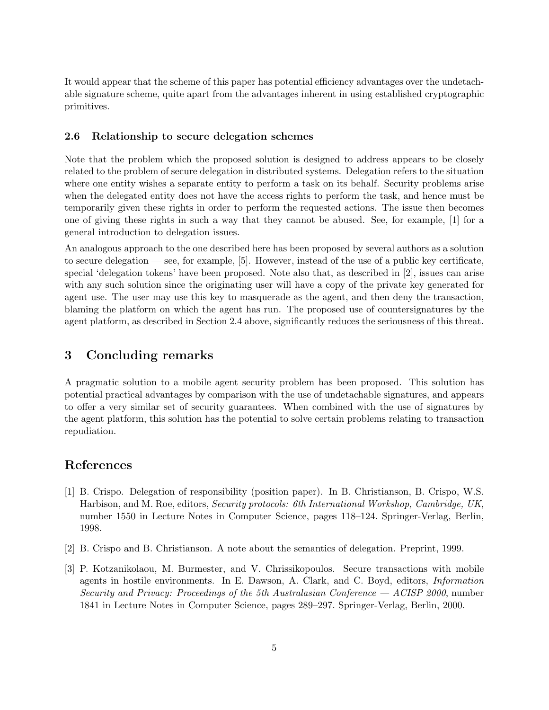It would appear that the scheme of this paper has potential efficiency advantages over the undetachable signature scheme, quite apart from the advantages inherent in using established cryptographic primitives.

#### 2.6 Relationship to secure delegation schemes

Note that the problem which the proposed solution is designed to address appears to be closely related to the problem of secure delegation in distributed systems. Delegation refers to the situation where one entity wishes a separate entity to perform a task on its behalf. Security problems arise when the delegated entity does not have the access rights to perform the task, and hence must be temporarily given these rights in order to perform the requested actions. The issue then becomes one of giving these rights in such a way that they cannot be abused. See, for example, [1] for a general introduction to delegation issues.

An analogous approach to the one described here has been proposed by several authors as a solution to secure delegation — see, for example, [5]. However, instead of the use of a public key certificate, special 'delegation tokens' have been proposed. Note also that, as described in [2], issues can arise with any such solution since the originating user will have a copy of the private key generated for agent use. The user may use this key to masquerade as the agent, and then deny the transaction, blaming the platform on which the agent has run. The proposed use of countersignatures by the agent platform, as described in Section 2.4 above, significantly reduces the seriousness of this threat.

### 3 Concluding remarks

A pragmatic solution to a mobile agent security problem has been proposed. This solution has potential practical advantages by comparison with the use of undetachable signatures, and appears to offer a very similar set of security guarantees. When combined with the use of signatures by the agent platform, this solution has the potential to solve certain problems relating to transaction repudiation.

## References

- [1] B. Crispo. Delegation of responsibility (position paper). In B. Christianson, B. Crispo, W.S. Harbison, and M. Roe, editors, Security protocols: 6th International Workshop, Cambridge, UK, number 1550 in Lecture Notes in Computer Science, pages 118–124. Springer-Verlag, Berlin, 1998.
- [2] B. Crispo and B. Christianson. A note about the semantics of delegation. Preprint, 1999.
- [3] P. Kotzanikolaou, M. Burmester, and V. Chrissikopoulos. Secure transactions with mobile agents in hostile environments. In E. Dawson, A. Clark, and C. Boyd, editors, Information Security and Privacy: Proceedings of the 5th Australasian Conference — ACISP 2000, number 1841 in Lecture Notes in Computer Science, pages 289–297. Springer-Verlag, Berlin, 2000.